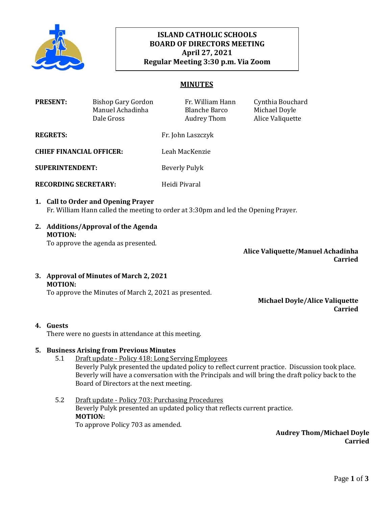

# **ISLAND CATHOLIC SCHOOLS BOARD OF DIRECTORS MEETING April 27, 2021 Regular Meeting 3:30 p.m. Via Zoom**

# **MINUTES**

| <b>PRESENT:</b>                 | <b>Bishop Gary Gordon</b><br>Manuel Achadinha<br>Dale Gross | Fr. William Hann<br><b>Blanche Barco</b><br>Audrey Thom | Cynthia Bouchard<br>Michael Doyle<br>Alice Valiquette |
|---------------------------------|-------------------------------------------------------------|---------------------------------------------------------|-------------------------------------------------------|
| <b>REGRETS:</b>                 |                                                             | Fr. John Laszczyk                                       |                                                       |
| <b>CHIEF FINANCIAL OFFICER:</b> |                                                             | Leah MacKenzie                                          |                                                       |
| SUPERINTENDENT:                 |                                                             | Beverly Pulyk                                           |                                                       |
| <b>RECORDING SECRETARY:</b>     |                                                             | Heidi Pivaral                                           |                                                       |
|                                 | 1. Call to Order and Opening Prayer                         |                                                         |                                                       |

- Fr. William Hann called the meeting to order at 3:30pm and led the Opening Prayer.
- **2. Additions/Approval of the Agenda MOTION:** To approve the agenda as presented.

**Alice Valiquette/Manuel Achadinha Carried**

**3. Approval of Minutes of March 2, 2021 MOTION:**

To approve the Minutes of March 2, 2021 as presented.

**Michael Doyle/Alice Valiquette Carried**

#### **4. Guests**

There were no guests in attendance at this meeting.

# **5. Business Arising from Previous Minutes**

- 5.1 Draft update Policy 418: Long Serving Employees Beverly Pulyk presented the updated policy to reflect current practice. Discussion took place. Beverly will have a conversation with the Principals and will bring the draft policy back to the Board of Directors at the next meeting.
- 5.2 Draft update Policy 703: Purchasing Procedures Beverly Pulyk presented an updated policy that reflects current practice. **MOTION:**  To approve Policy 703 as amended.

**Audrey Thom/Michael Doyle Carried**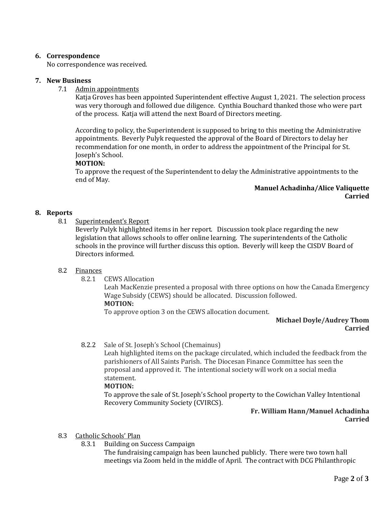# **6. Correspondence**

No correspondence was received.

#### **7. New Business**

#### 7.1 Admin appointments

Katja Groves has been appointed Superintendent effective August 1, 2021. The selection process was very thorough and followed due diligence. Cynthia Bouchard thanked those who were part of the process. Katja will attend the next Board of Directors meeting.

According to policy, the Superintendent is supposed to bring to this meeting the Administrative appointments. Beverly Pulyk requested the approval of the Board of Directors to delay her recommendation for one month, in order to address the appointment of the Principal for St. Joseph's School.

#### **MOTION:**

To approve the request of the Superintendent to delay the Administrative appointments to the end of May.

### **Manuel Achadinha/Alice Valiquette Carried**

#### **8. Reports**

# 8.1 Superintendent's Report

Beverly Pulyk highlighted items in her report. Discussion took place regarding the new legislation that allows schools to offer online learning. The superintendents of the Catholic schools in the province will further discuss this option. Beverly will keep the CISDV Board of Directors informed.

#### 8.2 Finances

8.2.1 CEWS Allocation

Leah MacKenzie presented a proposal with three options on how the Canada Emergency Wage Subsidy (CEWS) should be allocated. Discussion followed. **MOTION:**

To approve option 3 on the CEWS allocation document.

# **Michael Doyle/Audrey Thom Carried**

8.2.2 Sale of St. Joseph's School (Chemainus)

Leah highlighted items on the package circulated, which included the feedback from the parishioners of All Saints Parish. The Diocesan Finance Committee has seen the proposal and approved it. The intentional society will work on a social media statement.

#### **MOTION:**

To approve the sale of St. Joseph's School property to the Cowichan Valley Intentional Recovery Community Society (CVIRCS).

# **Fr. William Hann/Manuel Achadinha Carried**

# 8.3 Catholic Schools' Plan

8.3.1 Building on Success Campaign

The fundraising campaign has been launched publicly. There were two town hall meetings via Zoom held in the middle of April. The contract with DCG Philanthropic